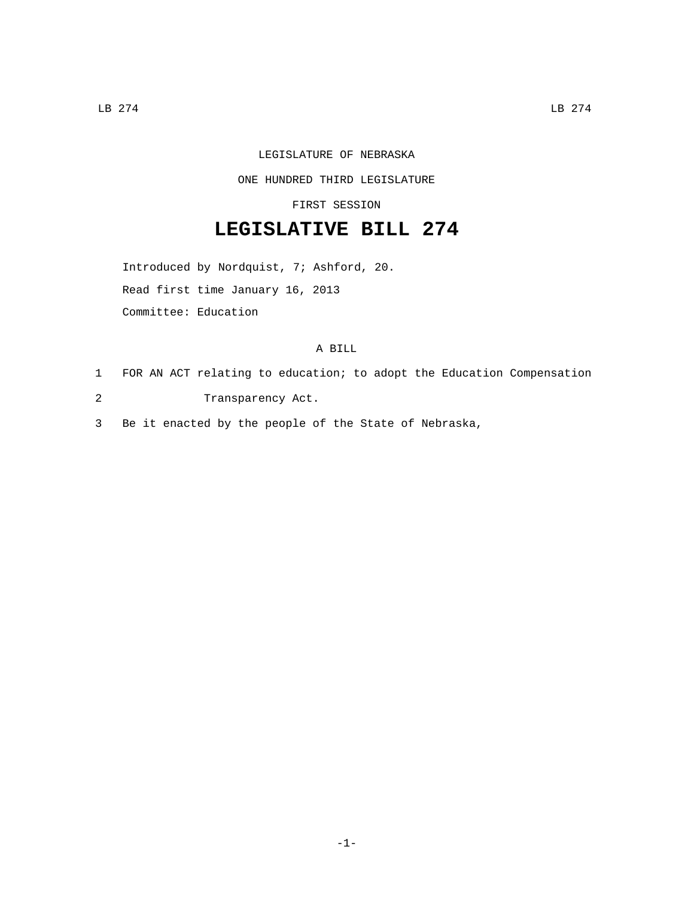## LEGISLATURE OF NEBRASKA

## ONE HUNDRED THIRD LEGISLATURE

FIRST SESSION

## **LEGISLATIVE BILL 274**

Introduced by Nordquist, 7; Ashford, 20.

Read first time January 16, 2013

Committee: Education

## A BILL

- 1 FOR AN ACT relating to education; to adopt the Education Compensation
- 2 Transparency Act.

3 Be it enacted by the people of the State of Nebraska,